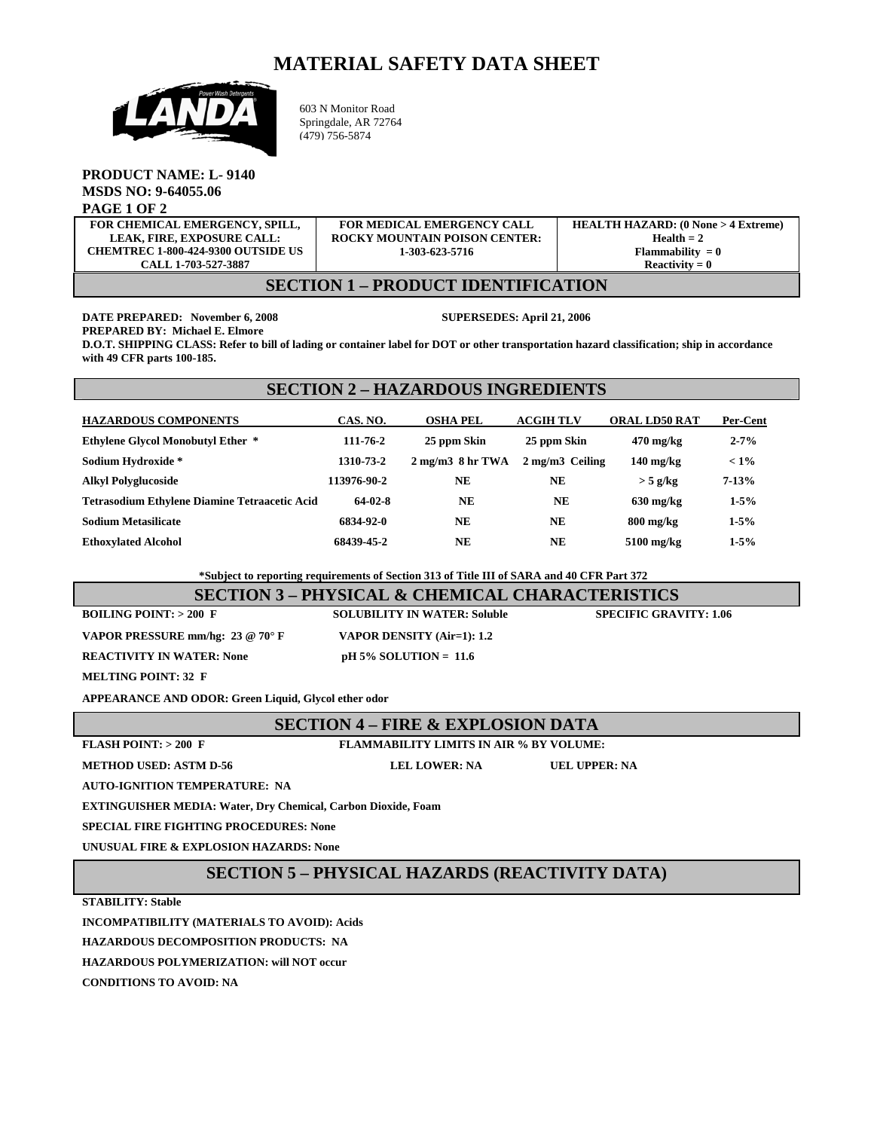## **MATERIAL SAFETY DATA SHEET**



603 N Monitor Road Springdale, AR 72764 (479) 756-5874

#### **PRODUCT NAME: L- 9140 MSDS NO: 9-64055.06 PAGE 1 OF 2**

| FOR CHEMICAL EMERGENCY, SPILL,                                                                                               | <b>FOR MEDICAL EMERGENCY CALL</b>    | <b>HEALTH HAZARD: (0 None &gt; 4 Extreme)</b> |
|------------------------------------------------------------------------------------------------------------------------------|--------------------------------------|-----------------------------------------------|
| <b>LEAK. FIRE. EXPOSURE CALL:</b>                                                                                            | <b>ROCKY MOUNTAIN POISON CENTER:</b> | Health $= 2$                                  |
| <b>CHEMTREC 1-800-424-9300 OUTSIDE US</b>                                                                                    | 1-303-623-5716                       | Flammability $= 0$                            |
| CALL 1-703-527-3887                                                                                                          |                                      | $Reactivity = 0$                              |
| <b>DD ODILOT IDDUTTIO LITOU</b><br>$C_{\text{L}}$ $C_{\text{L}}$ $C_{\text{L}}$ $C_{\text{L}}$ $C_{\text{L}}$ $C_{\text{L}}$ |                                      |                                               |

#### **SECTION 1 – PRODUCT IDENTIFICATION**

**DATE PREPARED: November 6, 2008 SUPERSEDES: April 21, 2006** 

**PREPARED BY: Michael E. Elmore** 

**D.O.T. SHIPPING CLASS: Refer to bill of lading or container label for DOT or other transportation hazard classification; ship in accordance with 49 CFR parts 100-185.** 

# **SECTION 2 – HAZARDOUS INGREDIENTS**

| <b>HAZARDOUS COMPONENTS</b>                   | CAS. NO.    | <b>OSHA PEL</b>                       | <b>ACGIH TLV</b>         | <b>ORAL LD50 RAT</b> | Per-Cent  |
|-----------------------------------------------|-------------|---------------------------------------|--------------------------|----------------------|-----------|
| <b>Ethylene Glycol Monobutyl Ether *</b>      | 111-76-2    | 25 ppm Skin                           | 25 ppm Skin              | $470$ mg/kg          | $2 - 7%$  |
| Sodium Hydroxide *                            | 1310-73-2   | $2 \text{ mg/m}$ $3 \text{ 8 hr TWA}$ | $2 \text{ mg/m}$ Ceiling | $140 \text{ mg/kg}$  | $< 1\%$   |
| <b>Alkyl Polyglucoside</b>                    | 113976-90-2 | <b>NE</b>                             | <b>NE</b>                | $>$ 5 g/kg           | $7 - 13%$ |
| Tetrasodium Ethylene Diamine Tetraacetic Acid | 64-02-8     | <b>NE</b>                             | NE                       | $630 \text{ mg/kg}$  | $1-5%$    |
| <b>Sodium Metasilicate</b>                    | 6834-92-0   | <b>NE</b>                             | <b>NE</b>                | $800 \text{ mg/kg}$  | $1-5%$    |
| <b>Ethoxylated Alcohol</b>                    | 68439-45-2  | NE                                    | <b>NE</b>                | $5100$ mg/kg         | $1 - 5%$  |

 **\*Subject to reporting requirements of Section 313 of Title III of SARA and 40 CFR Part 372** 

# **SECTION 3 – PHYSICAL & CHEMICAL CHARACTERISTICS**

**BOILING POINT: > 200 F SOLUBILITY IN WATER: Soluble SPECIFIC GRAVITY: 1.06 VAPOR PRESSURE mm/hg: 23 @ 70° F VAPOR DENSITY (Air=1): 1.2 REACTIVITY IN WATER:** None pH 5% SOLUTION = 11.6

**MELTING POINT: 32 F** 

**APPEARANCE AND ODOR: Green Liquid, Glycol ether odor**

## **SECTION 4 – FIRE & EXPLOSION DATA**

**FLASH POINT: > 200 F FLAMMABILITY LIMITS IN AIR % BY VOLUME:** 

**METHOD USED: ASTM D-56 LEL LOWER: NA UEL UPPER: NA** 

**AUTO-IGNITION TEMPERATURE: NA** 

**EXTINGUISHER MEDIA: Water, Dry Chemical, Carbon Dioxide, Foam** 

**SPECIAL FIRE FIGHTING PROCEDURES: None** 

**UNUSUAL FIRE & EXPLOSION HAZARDS: None** 

## **SECTION 5 – PHYSICAL HAZARDS (REACTIVITY DATA)**

**STABILITY: Stable** 

**INCOMPATIBILITY (MATERIALS TO AVOID): Acids** 

**HAZARDOUS DECOMPOSITION PRODUCTS: NA** 

**HAZARDOUS POLYMERIZATION: will NOT occur** 

**CONDITIONS TO AVOID: NA**